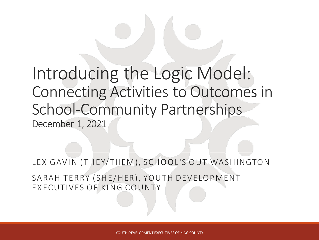### Introducing the Logic Model: Connecting Activities to Outcomes in School-Community Partnerships December 1, 2021

LEX GAVIN (THEY/THEM), SCHOOL'S OUT WASHINGTON

SARAH TERRY (SHE/HER), YOUTH DEVELOPMENT EXECUTIVES OF KING COUNTY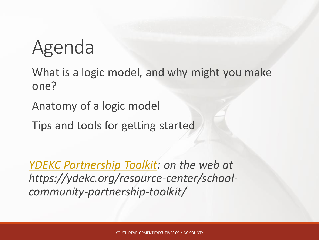# Agenda

What is a logic model, and why might you make one?

Anatomy of a logic model

Tips and tools for getting started

*[YDEKC Partnership Toolkit:](https://ydekc.org/resource-center/school-community-partnership-toolkit/) on the web at https://ydekc.org/resource-center/schoolcommunity-partnership-toolkit/*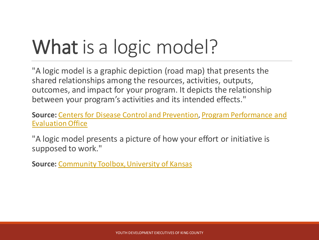# What is a logic model?

"A logic model is a graphic depiction (road map) that presents the shared relationships among the resources, activities, outputs, outcomes, and impact for your program. It depicts the relationship between your program's activities and its intended effects."

**Source:** [Centers for Disease Control and Prevention,](https://www.cdc.gov/program/index.htm) Program Performance and Evaluation Office

"A logic model presents a picture of how your effort or initiative is supposed to work."

**Source:** [Community Toolbox, University of Kansas](https://ctb.ku.edu/en/table-of-contents/overview/models-for-community-health-and-development/logic-model-development/main)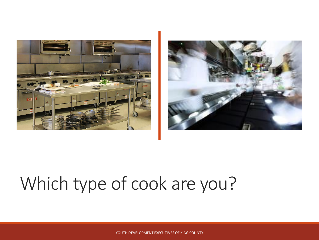



## Which type of cook are you?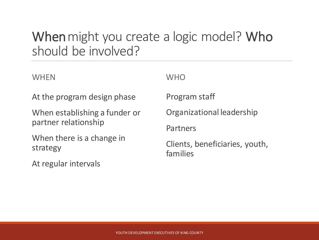#### When might you create a logic model? Who should be involved?

**WHFN** 

At the program design phase

When establishing a funder or partner relationship

When there is a change in strategy

At regular intervals

**WHO** 

Program staff

Organizational leadership

Partners

Clients, beneficiaries, youth, families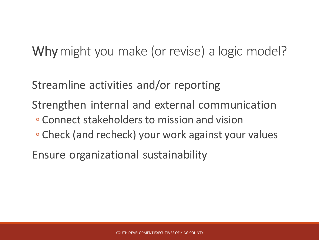#### Why might you make (or revise) a logic model?

Streamline activities and/or reporting

Strengthen internal and external communication

- Connect stakeholders to mission and vision
- Check (and recheck) your work against your values

Ensure organizational sustainability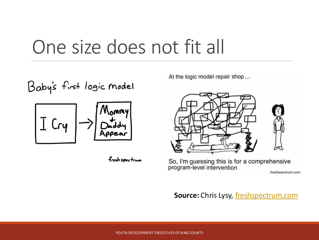## One size does not fit all

Baby's first logic model



fresh spectrum

At the logic model repair shop...



So, I'm guessing this is for a comprehensive program-level intervention

freshspectrum com

**Source:** Chris Lysy, [freshspectrum.com](https://freshspectrum.com/)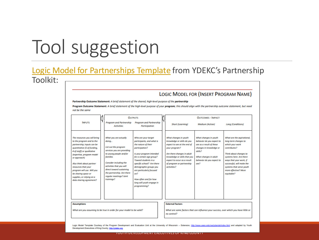# Tool suggestion

#### [Logic Model for Partnerships Template](https://ydekc.org/resource-center/logic-model-template-partnerships/) from YDEKC's Partnership Toolkit:

#### LOGIC MODEL FOR (INSERT PROGRAM NAME)

Partnership Outcome Statement: A brief statement of the shared, high-level purpose of the partnership

Program Outcome Statement: A brief statement of the high-level purpose of your program; this should align with the partnership outcome statement, but need not be the same

|                                                                                                                                                                                                                                                                                                                                                                    | <b>OUTPUTS</b>                                                                                                                                                                                                                                                                      |                                                                                                                                                                                                                                                                                                                                                        | <b>OUTCOMES - IMPACT</b>                                                                                                                                                                                                                     |                                                                                                                                                                                    |                                                                                                                                                                                                                                                                      |  |
|--------------------------------------------------------------------------------------------------------------------------------------------------------------------------------------------------------------------------------------------------------------------------------------------------------------------------------------------------------------------|-------------------------------------------------------------------------------------------------------------------------------------------------------------------------------------------------------------------------------------------------------------------------------------|--------------------------------------------------------------------------------------------------------------------------------------------------------------------------------------------------------------------------------------------------------------------------------------------------------------------------------------------------------|----------------------------------------------------------------------------------------------------------------------------------------------------------------------------------------------------------------------------------------------|------------------------------------------------------------------------------------------------------------------------------------------------------------------------------------|----------------------------------------------------------------------------------------------------------------------------------------------------------------------------------------------------------------------------------------------------------------------|--|
| <b>INPUTS</b>                                                                                                                                                                                                                                                                                                                                                      | <b>Program and Partnership</b><br><b>Activities</b>                                                                                                                                                                                                                                 | Program and Partnership<br>Participation                                                                                                                                                                                                                                                                                                               | <b>Short (Learning)</b>                                                                                                                                                                                                                      | <b>Medium</b> (Action)                                                                                                                                                             | <b>Long (Conditions)</b>                                                                                                                                                                                                                                             |  |
| The resources you will bring<br>to the program and to the<br>partnership; Inputs can be<br>quantitative (\$ of funding,<br># of staff) or qualitative<br>(expertise, program model<br>or approach)<br>Also think about partner<br>resources that your<br>program will use. Will you<br>be sharing space or<br>supplies, or relying on a<br>data sharing agreement? | What you are actually<br>doing<br>List out the program<br>services you are providing<br>to young people and/or<br>families<br>Consider including the<br>activities that you will<br>direct toward sustaining<br>the partnership. Are there<br>regular meetings? Joint<br>trainings? | Who are your target<br>participants, and what is<br>the nature of their<br>participation?<br>Is your program intended<br>for a certain age group?<br>Toward students in a<br>specific school? Are there<br>demographic groups you<br>are particularly focused<br>an <sup>2</sup><br>How often and for how<br>long will youth engage in<br>programming? | What changes in youth<br>knowledge or skills do you<br>expect to see at the end of<br>your program?<br>Are there changes in adult<br>knowledge or skills that you<br>expect to occur as a result<br>of program or partnership<br>activities? | What changes in youth<br>behavior do you expect to<br>see as a result of these<br>changes in knowledge or<br>skills?<br>What changes in adult<br>behavior do you expect to<br>see? | What are the aspirational,<br>long-term changes to<br>which your work<br>contributes?<br>Think about changes to<br>systems here. Are there<br>ways that your work, if<br>successful, will make the<br>systems that serve youth<br>more effective? More<br>equitable? |  |
| <b>Assumptions</b>                                                                                                                                                                                                                                                                                                                                                 |                                                                                                                                                                                                                                                                                     |                                                                                                                                                                                                                                                                                                                                                        | <b>External Factors</b>                                                                                                                                                                                                                      |                                                                                                                                                                                    |                                                                                                                                                                                                                                                                      |  |

What are you assuming to be true in order for your model to be valid?

What are some factors that can influence your success, over which you have little or no control?

Logic Model Template Courtesy of the Program Development and Evaluation Unit at the University of Wisconsin - Extension, http://www.uwex.edu/ces/pdande/index.html and adapted by Youth Development Executives of King County, http://ydeka.org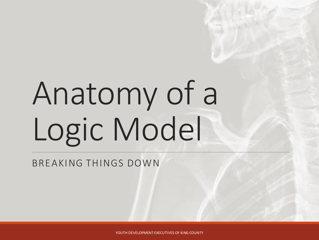# Anatomy of a Logic Model

BREAKING THINGS DOWN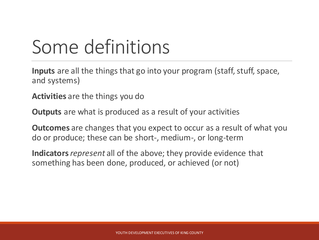# Some definitions

**Inputs** are all the things that go into your program (staff, stuff, space, and systems)

**Activities** are the things you do

**Outputs** are what is produced as a result of your activities

**Outcomes** are changes that you expect to occur as a result of what you do or produce; these can be short-, medium-, or long-term

**Indicators** *represent* all of the above; they provide evidence that something has been done, produced, or achieved (or not)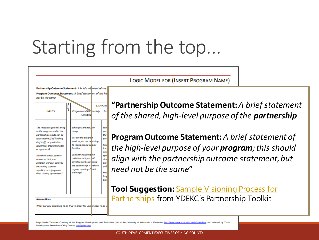# Starting from the top...



**LOGIC MODEL FOR (INSERT PROGRAM NAME)** 

**"PartnershipOutcome Statement:***A brief statement of the shared, high-level purpose of the partnership*

**Program Outcome Statement:***A brief statement of the high-level purpose of your program; this should align with the partnership outcome statement, but need not be the same*"

**Tool Suggestion:** Sample Visioning Process for **Partnerships [from YDEKC's Partnership Toolkit](https://ydekc.org/resource-center/sample-visioning-process-for-partnerships/)** 

Logic Model Template Courtesy of the Program Development and Evaluation Unit at the University of Wisconsin - Extension, http://www.uwex.edu/ces/pdande/index.html and adapted by Youth Development Executives of King County, http://ydeka.org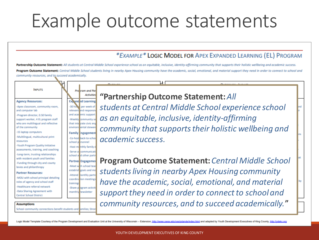## Example outcome statements

#### \*EXAMPLE\* LOGIC MODEL FOR APEX EXPANDED LEARNING (EL) PROGRAM

Partnership Outcome Statement: All students at Central Middle School experience school as an equitable, inclusive, identity-affirming community that supports their holistic wellbeing and academic success. Program Outcome Statement: Central Middle School students living in nearby Apex Housing community have the academic, social, emotional, and material support they need in order to connect to school and community resources, and to succeed academically.

#### **INPUTS**

**Agency Resources:** 

-Apex classroom, community room, and computer lab Program director, 0.50 family support worker, 4 EL program staff who are multilingual and reflective of the community

-15 laptop computers

Multilingual, multicultural print resources

-Youth Program Quality Initiative assessments, training, and coaching -Long-term, trusting relationships with resident youth and families -Funding through city and county levies and philanthropy

#### **Partner Resources:**

-MOU with school principal detailing roles of agency and school staff Healthcare referral network -Data Sharing Agreement with **Central School District** 

**Assumptions** 

School-community connections benefit students and amilies; Stron

school p rsonnel

-Serve a communicati

school and other partn

Partner Engagemen

-Meet with school tear

establish goals and mo

-Attend nonthly partr

coordination meetings

-Share p ogram activiti

monthly newsletter

trainings

#### Pro from and Par **Activities "Partnership Outcome Statement:***All*  **Expanded Learning**

*students at Central Middle School experience school*  -30 how per week of relevant and responsi and academic support *as an equitable, inclusive, identity-affirming*  -Weekly community se that inte trate civic eng environne ental stewar *community that supports their holistic wellbeing and*  **Family** ingagement -Co-host back-to-schoo *academic success.* -Host monthly family d

> **Program Outcome Statement:***Central Middle School students living in nearby Apex Housing community have the academic, social, emotional, and material support they need in order to connect to school and community resources, and to succeed academically.*"

Logic Model Template Courtesy of the Program Development and Evaluation Unit at the University of Wisconsin - Extension. http://www.uwex.edu/ces/odande/index.html and adapted by Youth Development Executives of King County,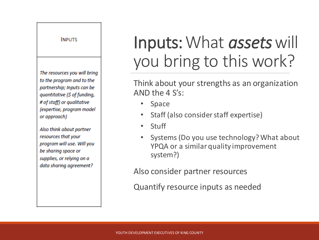#### **INPUTS**

The resources you will bring to the program and to the partnership; Inputs can be quantitative (\$ of funding, # of staff) or qualitative (expertise, program model or approach)

Also think about partner resources that your program will use. Will you be sharing space or supplies, or relying on a data sharing agreement?

### Inputs: What *assets* will you bring to this work?

Think about your strengths as an organization AND the 4 S's:

- **Space**
- Staff (also consider staff expertise)
- Stuff
- Systems (Do you use technology? What about YPQA or a similar quality improvement system?)

Also consider partner resources

Quantify resource inputs as needed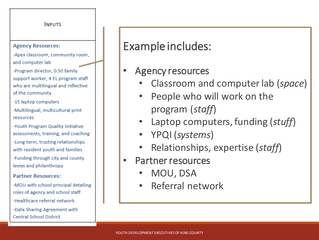#### **INPUTS Agency Resources:** -Apex classroom, community room, and computer lab -Program director, 0.50 family support worker, 4 EL program staff who are multilingual and reflective of the community -15 laptop computers -Multilingual, multicultural print resources -Youth Program Quality Initiative assessments, training, and coaching -Long-term, trusting relationships with resident youth and families -Funding through city and county levies and philanthropy **Partner Resources:** -MOU with school principal detailing roles of agency and school staff -Healthcare referral network -Data Sharing Agreement with **Central School District**

Example includes:

- Agency resources
	- Classroom and computer lab (*space*)
	- People who will work on the program (*staff*)
	- Laptop computers, funding (*stuff*)
	- YPQI (*systems*)
	- Relationships, expertise (*staff*)
- Partner resources
	- MOU, DSA
	- Referral network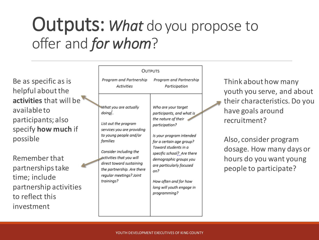### Outputs: *What* do you propose to offer and *for whom*?

Be as specific as is helpful about the **activities** that will be available to participants; also specify **how much** if possible

Remember that partnerships take time; include partnership activities to reflect this investment

| <b>OUTPUTS</b>                                                                                                                                                                                                                                                                       |                                                                                                                                                                                                                                                                                                                                            |
|--------------------------------------------------------------------------------------------------------------------------------------------------------------------------------------------------------------------------------------------------------------------------------------|--------------------------------------------------------------------------------------------------------------------------------------------------------------------------------------------------------------------------------------------------------------------------------------------------------------------------------------------|
| Program and Partnership Program and Partnership<br><b>Activities</b>                                                                                                                                                                                                                 | Participation                                                                                                                                                                                                                                                                                                                              |
| What you are actually<br>doing <br>List out the program<br>services you are providing<br>to young people and/or<br>families<br>Consider including the<br>activities that you will<br>direct toward sustaining<br>the partnership. Are there<br>regular meetings? Joint<br>trainings? | Who are your target<br>participants, and what is<br>the nature of their<br>participation?<br>Is your program intended<br>for a certain age group?<br>Toward students in a<br>specific school? Are there<br>demographic groups you<br>are particularly focused<br>on?<br>How often and for how<br>long will youth engage in<br>programming? |

Think about how many youth you serve, and about their characteristics. Do you have goals around recruitment?

Also, consider program dosage. How many days or hours do you want young people to participate?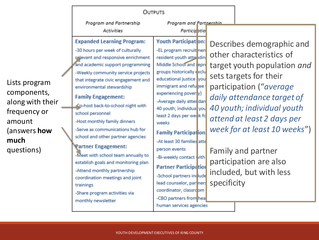|                                                                                                                         | <b>OUTPUTS</b>                                                                                                                                                                                                                                                                                                                                                                                                                                                                                                                                                                                                                                                                                            |                                                                                                                                                                                                                                                                                                                                                                                                                                                                                                                                                                                                     |             |                                                                                                                                                                                                                                                                                                                                                |
|-------------------------------------------------------------------------------------------------------------------------|-----------------------------------------------------------------------------------------------------------------------------------------------------------------------------------------------------------------------------------------------------------------------------------------------------------------------------------------------------------------------------------------------------------------------------------------------------------------------------------------------------------------------------------------------------------------------------------------------------------------------------------------------------------------------------------------------------------|-----------------------------------------------------------------------------------------------------------------------------------------------------------------------------------------------------------------------------------------------------------------------------------------------------------------------------------------------------------------------------------------------------------------------------------------------------------------------------------------------------------------------------------------------------------------------------------------------------|-------------|------------------------------------------------------------------------------------------------------------------------------------------------------------------------------------------------------------------------------------------------------------------------------------------------------------------------------------------------|
|                                                                                                                         | Program and Partnership<br><b>Activities</b>                                                                                                                                                                                                                                                                                                                                                                                                                                                                                                                                                                                                                                                              | Program and Partnershin<br>Participatio                                                                                                                                                                                                                                                                                                                                                                                                                                                                                                                                                             |             |                                                                                                                                                                                                                                                                                                                                                |
| Lists program<br>components,<br>along with their<br>frequency or<br>amount<br>(answers <b>how</b><br>much<br>questions) | <b>Expanded Learning Program:</b><br>-30 hours per week of culturally<br>relevant and responsive enrichment<br>and academic support programming<br>-Weekly community service projects<br>that integrate civic engagement and<br>environmental stewardship<br><b>Family Engagement:</b><br>Co-host back-to-school night with<br>school personnel<br>-Host monthly family dinners<br>-Serve as communications hub for<br>school and other partner agencies<br><b>Partner Engagement:</b><br>-Meet with school team annually to<br>establish goals and monitoring plan<br>-Attend monthly partnership<br>coordination meetings and joint<br>trainings<br>-Share program activities via<br>monthly newsletter | <b>Youth Participation:</b><br>-EL program recruit nen<br>resident youth attandin<br>Middle School and repre<br>groups historically exclu<br>educational justice vou<br>immigrant and refugee<br>experiencing poverty)<br>-Average daily atter dan<br>40 youth; individual you<br>least 2 days per week fo<br>weeks<br><b>Family Participation</b><br>-At least 30 families atte<br>person events<br>-Bi-weekly contact with<br><b>Partner Participation</b><br>-School partners include<br>lead counselor, par ners<br>coordinator, classroom<br>-CBO partners from hea<br>human services agencies | specificity | Describes demographic and<br>other characteristics of<br>target youth population and<br>sets targets for their<br>participation ("average<br>daily attendance target of<br>40 youth; individual youth<br>attend at least 2 days per<br>week for at least 10 weeks")<br>Family and partner<br>participation are also<br>included, but with less |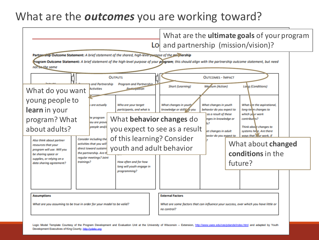#### What are the *outcomes* you are working toward?

|                                                                                                                                                                                                                                                                                                                                                                                                                                                                                                                                                                                                                                                                                                    | What are the <b>ultimate goals</b> of your program<br>Lo and partnership (mission/vision)?                                                                                                                                                                                                                                                                                                                                                                                                                      |
|----------------------------------------------------------------------------------------------------------------------------------------------------------------------------------------------------------------------------------------------------------------------------------------------------------------------------------------------------------------------------------------------------------------------------------------------------------------------------------------------------------------------------------------------------------------------------------------------------------------------------------------------------------------------------------------------------|-----------------------------------------------------------------------------------------------------------------------------------------------------------------------------------------------------------------------------------------------------------------------------------------------------------------------------------------------------------------------------------------------------------------------------------------------------------------------------------------------------------------|
| Partnership Outcome Statement: A brief statement of the shared, high-lever purgose of the partnership<br>rogram Outcome Statement: A brief statement of the high-level purpose of your pipgram; this should align with the partnership outcome statement, but need<br>not be the same<br><b>OUTPUTS</b><br>and Partnership<br><b>Program and Partnership</b><br><b>Performation</b><br><b>Activities</b><br>What do you want<br>young people to<br>Who are your target<br><i><b>u</b></i> are actually<br>learn in your<br>participants, and what is<br>he program<br>What behavior changes do<br>program? What<br>ou are provid<br>people and/c<br>you expect to see as a result<br>about adults? | <b>OUTCOMES - IMPACT</b><br>Mesium (Action)<br><b>Short (Learning)</b><br><b>Long (Conditions)</b><br>What changes in youth<br>What are the aspirational,<br>What changes in youth/<br>knowledge or skills do you<br>behavior do you expect to<br>long-telm changes to<br>which your work<br>as a result of these<br>contributes?<br>inges in knowledge or<br>le <sub>2</sub><br>Think about changes to<br>at changes in adult<br>systems helle. Are there<br>ways that your work, if<br>avior do you expect to |
| of this learning? Consider<br>Consider including the<br>Also think about partner<br>activities that you will<br>resources that your<br>youth and adult behavior<br>direct toward sustaini<br>program will use. Will you<br>the partnership. Are tl<br>be sharing space or<br>regular meetings? Joint<br>supplies, or relying on a<br>How often and for how<br>trainings?<br>data sharing agreement?<br>long will youth engage in<br>programming?<br><b>Assumptions</b><br>What are you assuming to be true in order for your model to be valid?                                                                                                                                                    | What about changed<br>conditions in the<br>future?<br><b>External Factors</b><br>What are same factors that can influence your success, over which you have little or<br>no control?                                                                                                                                                                                                                                                                                                                            |

Logic Model Template Courtesy of the Program Development and Evaluation Unit at the University of Wisconsin - Extension, http://www.uwex.edu/ces/pdande/index.html and adapted by Youth Development Executives of King County, http://vdeko.org

YOUTH DEVELOPMENT EXECUTIVES OF A REPORT OF A SECURITY SERVICES OF KING COUNTY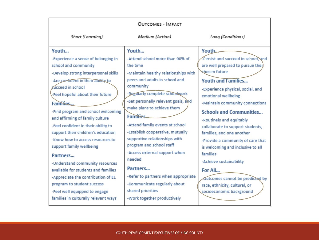| OUTCOMES - IMPACT                                                                                                                                                                                                                                                                                                                                                                                                                                                                                                                                                                                                                                                                       |                                                                                                                                                                                                                                                                                                                                                                                                                                                                                                                                                                                             |                                                                                                                                                                                                                                                                                                                                                                                                                                                                                                                                                                                           |  |  |  |
|-----------------------------------------------------------------------------------------------------------------------------------------------------------------------------------------------------------------------------------------------------------------------------------------------------------------------------------------------------------------------------------------------------------------------------------------------------------------------------------------------------------------------------------------------------------------------------------------------------------------------------------------------------------------------------------------|---------------------------------------------------------------------------------------------------------------------------------------------------------------------------------------------------------------------------------------------------------------------------------------------------------------------------------------------------------------------------------------------------------------------------------------------------------------------------------------------------------------------------------------------------------------------------------------------|-------------------------------------------------------------------------------------------------------------------------------------------------------------------------------------------------------------------------------------------------------------------------------------------------------------------------------------------------------------------------------------------------------------------------------------------------------------------------------------------------------------------------------------------------------------------------------------------|--|--|--|
| Short (Learning)                                                                                                                                                                                                                                                                                                                                                                                                                                                                                                                                                                                                                                                                        | Medium (Action)                                                                                                                                                                                                                                                                                                                                                                                                                                                                                                                                                                             | Long (Conditions)                                                                                                                                                                                                                                                                                                                                                                                                                                                                                                                                                                         |  |  |  |
| Youth<br>-Experience a sense of belonging in<br>school and community<br>-Develop strong interpersonal skills<br>-Are confident in their ability to<br><b>Kucceed in school</b><br>-Feel hopeful about their future<br>Families<br>-Find program and school welcoming<br>and affirming of family culture<br>-Feel confident in their ability to<br>support their children's education<br>-Know how to access resources to<br>support family wellbeing<br>Partners<br>-Understand community resources<br>available for students and families<br>-Appreciate the contribution of EL<br>program to student success<br>-Feel well equipped to engage<br>families in culturally relevant ways | Youth<br>-Attend school more than 90% of<br>the time<br>-Maintain healthy relationships with<br>peers and adults in school and<br>community<br>-Regularly complete schookwork<br>-Set personally relevant goals, and<br>make plans to achieve them<br><b>Families</b><br>-Attend family events at school<br>-Establish cooperative, mutually<br>supportive relationships with<br>program and school staff<br>-Access external support when<br>needed<br>Partners<br>-Refer to partners when appropriate<br>-Communicate regularly about<br>shared priorities<br>-Work together productively | Youth<br>-Persist and succeed in school, and<br>are well prepared to pursue their<br>shosen future<br><b>Youth and Families</b><br>-Experience physical, social, and<br>emotional wellbeing<br>-Maintain community connections<br><b>Schools and Communities</b><br>-Routinely and equitably<br>collaborate to support students,<br>families, and one another<br>-Provide a community of care that<br>is welcoming and inclusive to all<br>families<br>-Achieve sustainability<br>For All<br>Outcomes cannot be predicted by<br>race, ethnicity, cultural, or<br>socioeconomic background |  |  |  |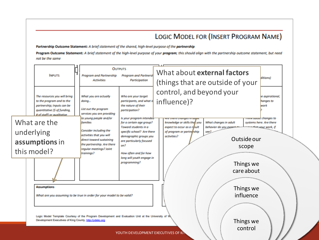#### LOGIC MODEL FOR (INSERT PROGRAM NAME)

Partnership Outcome Statement: A brief statement of the shared, high-level purpose of the partnership

Program Outcome Statement: A brief statement of the high-level purpose of your program; this should align with the partnership outcome statement, but need not be the same

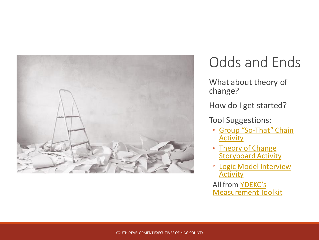

### Odds and Ends

What about theory of change?

How do I get started?

Tool Suggestions:

- Group "So-[That" Chain](https://ydekc.org/resource-center/group-so-that-chain-activity/)  **Activity**
- Theory of Change **[Storyboard Activity](https://ydekc.org/resource-center/theory-of-change-storyboard-activity/)**
- [Logic Model Interview](https://ydekc.org/resource-center/logic-model-interview-activity-guide/)  **Activity**

All from YDEKC's [Measurement Toolkit](https://ydekc.org/resource-center/measurement-toolkit/)